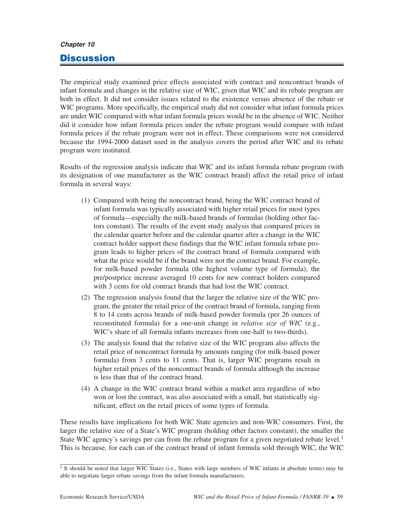## **Chapter 10**

## **Discussion**

The empirical study examined price effects associated with contract and noncontract brands of infant formula and changes in the relative size of WIC, given that WIC and its rebate program are both in effect. It did not consider issues related to the existence versus absence of the rebate or WIC programs. More specifically, the empirical study did not consider what infant formula prices are under WIC compared with what infant formula prices would be in the absence of WIC. Neither did it consider how infant formula prices under the rebate program would compare with infant formula prices if the rebate program were not in effect. These comparisons were not considered because the 1994-2000 dataset used in the analysis covers the period after WIC and its rebate program were instituted.

Results of the regression analysis indicate that WIC and its infant formula rebate program (with its designation of one manufacturer as the WIC contract brand) affect the retail price of infant formula in several ways:

- (1) Compared with being the noncontract brand, being the WIC contract brand of infant formula was typically associated with higher retail prices for most types of formula—especially the milk-based brands of formulas (holding other factors constant). The results of the event study analysis that compared prices in the calendar quarter before and the calendar quarter after a change in the WIC contract holder support these findings that the WIC infant formula rebate program leads to higher prices of the contract brand of formula compared with what the price would be if the brand were not the contract brand. For example, for milk-based powder formula (the highest volume type of formula), the pre/postprice increase averaged 10 cents for new contract holders compared with 3 cents for old contract brands that had lost the WIC contract.
- (2) The regression analysis found that the larger the relative size of the WIC program, the greater the retail price of the contract brand of formula, ranging from 8 to 14 cents across brands of milk-based powder formula (per 26 ounces of reconstituted formula) for a one-unit change in *relative size of WIC* (e.g., WIC's share of all formula infants increases from one-half to two-thirds).
- (3) The analysis found that the relative size of the WIC program also affects the retail price of noncontract formula by amounts ranging (for milk-based power formula) from 3 cents to 11 cents. That is, larger WIC programs result in higher retail prices of the noncontract brands of formula although the increase is less than that of the contract brand.
- (4) A change in the WIC contract brand within a market area regardless of who won or lost the contract, was also associated with a small, but statistically significant, effect on the retail prices of some types of formula.

These results have implications for both WIC State agencies and non-WIC consumers. First, the larger the relative size of a State's WIC program (holding other factors constant), the smaller the State WIC agency's savings per can from the rebate program for a given negotiated rebate level.<sup>1</sup> This is because, for each can of the contract brand of infant formula sold through WIC, the WIC

<sup>&</sup>lt;sup>1</sup> It should be noted that larger WIC States (i.e., States with large numbers of WIC infants in absolute terms) may be able to negotiate larger rebate savings from the infant formula manufacturers.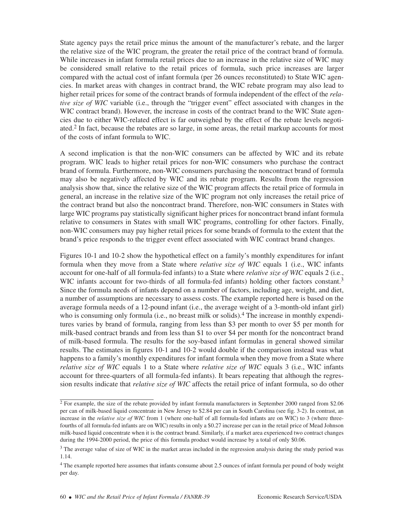State agency pays the retail price minus the amount of the manufacturer's rebate, and the larger the relative size of the WIC program, the greater the retail price of the contract brand of formula. While increases in infant formula retail prices due to an increase in the relative size of WIC may be considered small relative to the retail prices of formula, such price increases are larger compared with the actual cost of infant formula (per 26 ounces reconstituted) to State WIC agencies. In market areas with changes in contract brand, the WIC rebate program may also lead to higher retail prices for some of the contract brands of formula independent of the effect of the *relative size of WIC* variable (i.e., through the "trigger event" effect associated with changes in the WIC contract brand). However, the increase in costs of the contract brand to the WIC State agencies due to either WIC-related effect is far outweighed by the effect of the rebate levels negotiated.2 In fact, because the rebates are so large, in some areas, the retail markup accounts for most of the costs of infant formula to WIC.

A second implication is that the non-WIC consumers can be affected by WIC and its rebate program. WIC leads to higher retail prices for non-WIC consumers who purchase the contract brand of formula. Furthermore, non-WIC consumers purchasing the noncontract brand of formula may also be negatively affected by WIC and its rebate program. Results from the regression analysis show that, since the relative size of the WIC program affects the retail price of formula in general, an increase in the relative size of the WIC program not only increases the retail price of the contract brand but also the noncontract brand. Therefore, non-WIC consumers in States with large WIC programs pay statistically significant higher prices for noncontract brand infant formula relative to consumers in States with small WIC programs, controlling for other factors. Finally, non-WIC consumers may pay higher retail prices for some brands of formula to the extent that the brand's price responds to the trigger event effect associated with WIC contract brand changes.

Figures 10-1 and 10-2 show the hypothetical effect on a family's monthly expenditures for infant formula when they move from a State where *relative size of WIC* equals 1 (i.e., WIC infants account for one-half of all formula-fed infants) to a State where *relative size of WIC* equals 2 (i.e., WIC infants account for two-thirds of all formula-fed infants) holding other factors constant.<sup>3</sup> Since the formula needs of infants depend on a number of factors, including age, weight, and diet, a number of assumptions are necessary to assess costs. The example reported here is based on the average formula needs of a 12-pound infant (i.e., the average weight of a 3-month-old infant girl) who is consuming only formula (i.e., no breast milk or solids).<sup>4</sup> The increase in monthly expenditures varies by brand of formula, ranging from less than \$3 per month to over \$5 per month for milk-based contract brands and from less than \$1 to over \$4 per month for the noncontract brand of milk-based formula. The results for the soy-based infant formulas in general showed similar results. The estimates in figures 10-1 and 10-2 would double if the comparison instead was what happens to a family's monthly expenditures for infant formula when they move from a State where *relative size of WIC* equals 1 to a State where *relative size of WIC* equals 3 (i.e., WIC infants account for three-quarters of all formula-fed infants). It bears repeating that although the regression results indicate that *relative size of WIC* affects the retail price of infant formula, so do other

<sup>&</sup>lt;sup>2</sup> For example, the size of the rebate provided by infant formula manufacturers in September 2000 ranged from \$2.06 per can of milk-based liquid concentrate in New Jersey to \$2.84 per can in South Carolina (see fig. 3-2). In contrast, an increase in the *relative size of WIC* from 1 (where one-half of all formula-fed infants are on WIC) to 3 (where threefourths of all formula-fed infants are on WIC) results in only a \$0.27 increase per can in the retail price of Mead Johnson milk-based liquid concentrate when it is the contract brand. Similarly, if a market area experienced two contract changes during the 1994-2000 period, the price of this formula product would increase by a total of only \$0.06.

<sup>&</sup>lt;sup>3</sup> The average value of size of WIC in the market areas included in the regression analysis during the study period was 1.14.

<sup>4</sup> The example reported here assumes that infants consume about 2.5 ounces of infant formula per pound of body weight per day.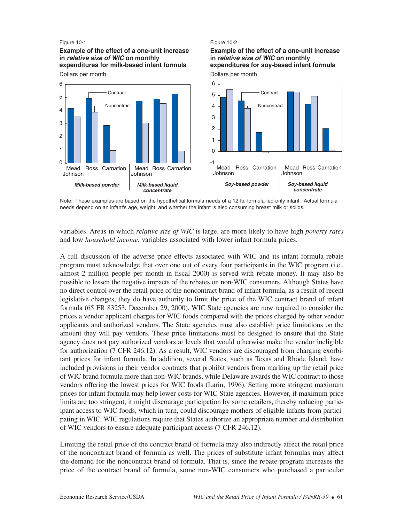## Figure 10-1

**Example of the effect of a one-unit increase in** *relative size of WIC* **on monthly expenditures for milk-based infant formula**



Figure 10-2

**Example of the effect of a one-unit increase** 

**expenditures for soy-based infant formula**

**in** *relative size of WIC* **on monthly** 

Note: These examples are based on the hypothetical formula needs of a 12-lb, formula-fed-only infant. Actual formula needs depend on an infant's age, weight, and whether the infant is also consuming breast milk or solids.

variables. Areas in which *relative size of WIC* is large, are more likely to have high *poverty rates* and low *household income*, variables associated with lower infant formula prices.

A full discussion of the adverse price effects associated with WIC and its infant formula rebate program must acknowledge that over one out of every four participants in the WIC program (i.e., almost 2 million people per month in fiscal 2000) is served with rebate money. It may also be possible to lessen the negative impacts of the rebates on non-WIC consumers. Although States have no direct control over the retail price of the noncontract brand of infant formula, as a result of recent legislative changes, they do have authority to limit the price of the WIC contract brand of infant formula (65 FR 83253, December 29, 2000). WIC State agencies are now required to consider the prices a vendor applicant charges for WIC foods compared with the prices charged by other vendor applicants and authorized vendors. The State agencies must also establish price limitations on the amount they will pay vendors. These price limitations must be designed to ensure that the State agency does not pay authorized vendors at levels that would otherwise make the vendor ineligible for authorization (7 CFR 246.12). As a result, WIC vendors are discouraged from charging exorbitant prices for infant formula. In addition, several States, such as Texas and Rhode Island, have included provisions in their vendor contracts that prohibit vendors from marking up the retail price of WIC brand formula more than non-WIC brands, while Delaware awards the WIC contract to those vendors offering the lowest prices for WIC foods (Larin, 1996). Setting more stringent maximum prices for infant formula may help lower costs for WIC State agencies. However, if maximum price limits are too stringent, it might discourage participation by some retailers, thereby reducing participant access to WIC foods, which in turn, could discourage mothers of eligible infants from participating in WIC. WIC regulations require that States authorize an appropriate number and distribution of WIC vendors to ensure adequate participant access (7 CFR 246.12).

Limiting the retail price of the contract brand of formula may also indirectly affect the retail price of the noncontract brand of formula as well. The prices of substitute infant formulas may affect the demand for the noncontract brand of formula. That is, since the rebate program increases the price of the contract brand of formula, some non-WIC consumers who purchased a particular